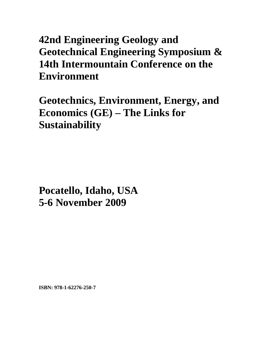## **42nd Engineering Geology and Geotechnical Engineering Symposium & 14th Intermountain Conference on the Environment**

**Geotechnics, Environment, Energy, and Economics (GE) – The Links for Sustainability** 

**Pocatello, Idaho, USA 5-6 November 2009**

**ISBN: 978-1-62276-250-7**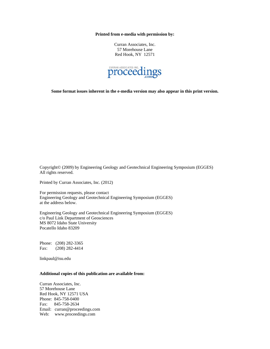**Printed from e-media with permission by:** 

Curran Associates, Inc. 57 Morehouse Lane Red Hook, NY 12571



**Some format issues inherent in the e-media version may also appear in this print version.** 

Copyright© (2009) by Engineering Geology and Geotechnical Engineering Symposium (EGGES) All rights reserved.

Printed by Curran Associates, Inc. (2012)

For permission requests, please contact Engineering Geology and Geotechnical Engineering Symposium (EGGES) at the address below.

Engineering Geology and Geotechnical Engineering Symposium (EGGES) c/o Paul Link Department of Geosciences MS 8072 Idaho State University Pocatello Idaho 83209

Phone: (208) 282-3365 Fax: (208) 282-4414

linkpaul@isu.edu

## **Additional copies of this publication are available from:**

Curran Associates, Inc. 57 Morehouse Lane Red Hook, NY 12571 USA Phone: 845-758-0400 Fax: 845-758-2634 Email: curran@proceedings.com Web: www.proceedings.com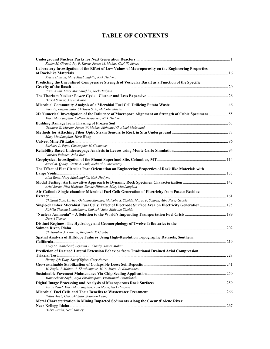## **TABLE OF CONTENTS**

| Kellen M. Giraud, Jay F. Kunze, James M. Mahar, Carl W. Myers                                                                                                     |     |
|-------------------------------------------------------------------------------------------------------------------------------------------------------------------|-----|
| Laboratory Investigation of the Effect of Low Values of Macroporosity on the Engineering Properties                                                               |     |
| Krista Hanson, Mary MacLaughlin, Nick Hudyma                                                                                                                      |     |
| Predicting the Unconfined Compressive Strength of Vesicular Basalt as a Function of the Specific                                                                  |     |
|                                                                                                                                                                   |     |
| Brian Kuhn, Mary MacLaughlin, Nick Hudyma                                                                                                                         |     |
| Darryl Siemer, Jay F. Kunze                                                                                                                                       |     |
| Zhen Li, Eugene Sato, Chikashi Sato, Malcolm Shields                                                                                                              |     |
| 2D Numerical Investigation of the Influence of Macropore Alignment on Strength of Cubic Specimens 55<br>Mary MacLaughlin, Colleen Jespersen, Nick Hudyma          |     |
|                                                                                                                                                                   |     |
| Gennaro G. Marino, James W. Mahar, Mohamed G. Abdel-Maksound                                                                                                      |     |
| Mary MacLaughlin, Herb Wang                                                                                                                                       |     |
|                                                                                                                                                                   |     |
| Barbara L. Pape, Christopher H. Gammons                                                                                                                           |     |
| Lourdes Polanco, John Rice                                                                                                                                        |     |
|                                                                                                                                                                   |     |
| Jared M. Quilty, Curtis A. Link, Richard L. McNearny                                                                                                              |     |
| The Effect of Flat Circular Pore Orientation on Engineering Properties of Rock-like Materials with                                                                |     |
| Alan Roos, Mary MacLaughlin, Nick Hudyma                                                                                                                          |     |
| Ariel Sarno, Nick Hudyma, Dennis Hiltunen, Mary MacLaughlin                                                                                                       |     |
| Air-Cathode Single-chamber Microbial Fuel Cell: Generation of Electricity from Potato-Residue                                                                     |     |
| Chikashi Sato, Larissa Quintana Sanchez, Malcolm S. Shields, Marco P. Schoen, Alba Perez-Gracia                                                                   |     |
| Single-chamber Microbial Fuel Cells: Effect of Electrode Surface Area on Electricity Generation  175<br>Rishika Sharma Lamichhane, Chikashi Sato, Malcolm Shields |     |
| Darryl Siemer                                                                                                                                                     |     |
| Distinct Regimes: The Hydrology and Geomorphology of Twelve Tributaries to the                                                                                    |     |
| Christopher J. Tennant, Benjamin T. Crosby                                                                                                                        |     |
| Spatial Analysis of Hillslope Failures Using High-Resolution Topographic Datasets, Southern                                                                       | 219 |
| Kelly M. Whitehead, Bejamin T. Crosby, James Mahar                                                                                                                |     |
| Prediction of Drained Lateral Extension Behavior from Traditional Drained Axial Compression                                                                       |     |
| Horng-Jyh Yang, Sherif Elfass, Gary Norris                                                                                                                        |     |
|                                                                                                                                                                   |     |
| M. Zoghi, J. Mahar, A. Ebrahimpour, M. Y. Araya, P. Katamaneni                                                                                                    |     |
| Manoochehr Zoghi, Arya Ebrahimpour, Vishwanath Pothukutchi                                                                                                        |     |
|                                                                                                                                                                   |     |
| Aaron Zosel, Mary MacLaughlin, Tom Moon, Nick Hudyma                                                                                                              |     |
|                                                                                                                                                                   |     |
| Beltus Abeh, Chikashi Sato, Solomon Leung                                                                                                                         |     |
| Metal Characterization in Mining Impacted Sediments Along the Coeur d'Alene River                                                                                 |     |
| Debra Bruhn, Neal Yancey                                                                                                                                          |     |